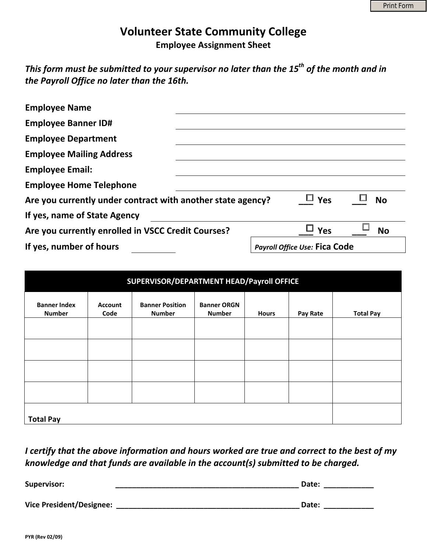## **Volunteer State Community College**

**Employee Assignment Sheet**

*This form must be submitted to your supervisor no later than the 15th of the month and in the Payroll Office no later than the 16th.*

| <b>Employee Name</b>                                                                   |                                      |     |           |  |  |  |
|----------------------------------------------------------------------------------------|--------------------------------------|-----|-----------|--|--|--|
| <b>Employee Banner ID#</b>                                                             |                                      |     |           |  |  |  |
| <b>Employee Department</b>                                                             |                                      |     |           |  |  |  |
| <b>Employee Mailing Address</b>                                                        |                                      |     |           |  |  |  |
| <b>Employee Email:</b>                                                                 |                                      |     |           |  |  |  |
| <b>Employee Home Telephone</b>                                                         |                                      |     |           |  |  |  |
| $\Box$ Yes<br><b>No</b><br>Are you currently under contract with another state agency? |                                      |     |           |  |  |  |
| If yes, name of State Agency                                                           |                                      |     |           |  |  |  |
| Are you currently enrolled in VSCC Credit Courses?                                     |                                      | Yes | <b>No</b> |  |  |  |
| If yes, number of hours                                                                | <b>Payroll Office Use: Fica Code</b> |     |           |  |  |  |

| SUPERVISOR/DEPARTMENT HEAD/Payroll OFFICE |                        |                                         |                                     |              |          |                  |  |
|-------------------------------------------|------------------------|-----------------------------------------|-------------------------------------|--------------|----------|------------------|--|
| <b>Banner Index</b><br><b>Number</b>      | <b>Account</b><br>Code | <b>Banner Position</b><br><b>Number</b> | <b>Banner ORGN</b><br><b>Number</b> | <b>Hours</b> | Pay Rate | <b>Total Pay</b> |  |
|                                           |                        |                                         |                                     |              |          |                  |  |
|                                           |                        |                                         |                                     |              |          |                  |  |
|                                           |                        |                                         |                                     |              |          |                  |  |
| <b>Total Pay</b>                          |                        |                                         |                                     |              |          |                  |  |

*I certify that the above information and hours worked are true and correct to the best of my knowledge and that funds are available in the account(s) submitted to be charged.*

| <b>Supervisor:</b>              | Date: |  |
|---------------------------------|-------|--|
|                                 |       |  |
| <b>Vice President/Designee:</b> | Date: |  |